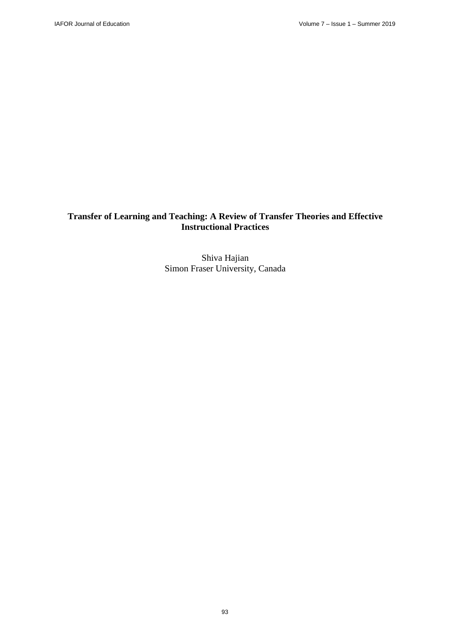# **Transfer of Learning and Teaching: A Review of Transfer Theories and Effective Instructional Practices**

Shiva Hajian Simon Fraser University, Canada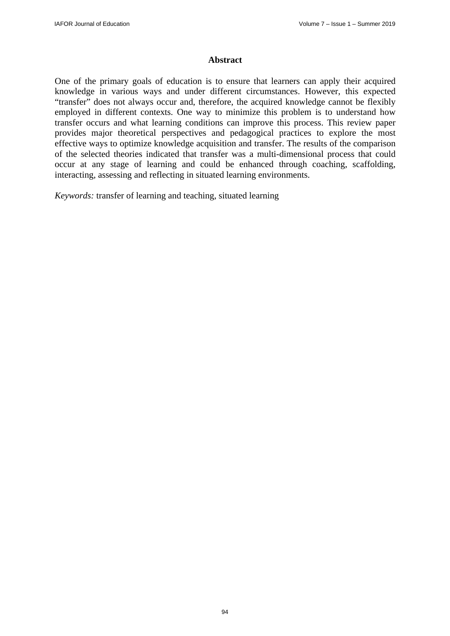### **Abstract**

One of the primary goals of education is to ensure that learners can apply their acquired knowledge in various ways and under different circumstances. However, this expected "transfer" does not always occur and, therefore, the acquired knowledge cannot be flexibly employed in different contexts. One way to minimize this problem is to understand how transfer occurs and what learning conditions can improve this process. This review paper provides major theoretical perspectives and pedagogical practices to explore the most effective ways to optimize knowledge acquisition and transfer. The results of the comparison of the selected theories indicated that transfer was a multi-dimensional process that could occur at any stage of learning and could be enhanced through coaching, scaffolding, interacting, assessing and reflecting in situated learning environments.

*Keywords:* transfer of learning and teaching, situated learning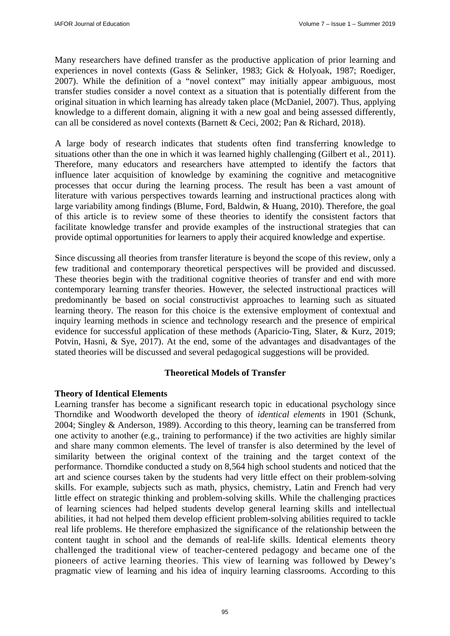Many researchers have defined transfer as the productive application of prior learning and experiences in novel contexts (Gass & Selinker, 1983; Gick & Holyoak, 1987; Roediger, 2007). While the definition of a "novel context" may initially appear ambiguous, most transfer studies consider a novel context as a situation that is potentially different from the original situation in which learning has already taken place (McDaniel, 2007). Thus, applying knowledge to a different domain, aligning it with a new goal and being assessed differently, can all be considered as novel contexts (Barnett & Ceci, 2002; Pan & Richard, 2018).

A large body of research indicates that students often find transferring knowledge to situations other than the one in which it was learned highly challenging (Gilbert et al., 2011). Therefore, many educators and researchers have attempted to identify the factors that influence later acquisition of knowledge by examining the cognitive and metacognitive processes that occur during the learning process. The result has been a vast amount of literature with various perspectives towards learning and instructional practices along with large variability among findings (Blume, Ford, Baldwin, & Huang, 2010). Therefore, the goal of this article is to review some of these theories to identify the consistent factors that facilitate knowledge transfer and provide examples of the instructional strategies that can provide optimal opportunities for learners to apply their acquired knowledge and expertise.

Since discussing all theories from transfer literature is beyond the scope of this review, only a few traditional and contemporary theoretical perspectives will be provided and discussed. These theories begin with the traditional cognitive theories of transfer and end with more contemporary learning transfer theories. However, the selected instructional practices will predominantly be based on social constructivist approaches to learning such as situated learning theory. The reason for this choice is the extensive employment of contextual and inquiry learning methods in science and technology research and the presence of empirical evidence for successful application of these methods (Aparicio-Ting, Slater, & Kurz, 2019; Potvin, Hasni, & Sye, 2017). At the end, some of the advantages and disadvantages of the stated theories will be discussed and several pedagogical suggestions will be provided.

### **Theoretical Models of Transfer**

### **Theory of Identical Elements**

Learning transfer has become a significant research topic in educational psychology since Thorndike and Woodworth developed the theory of *identical elements* in 1901 (Schunk, 2004; Singley & Anderson, 1989). According to this theory, learning can be transferred from one activity to another (e.g., training to performance) if the two activities are highly similar and share many common elements. The level of transfer is also determined by the level of similarity between the original context of the training and the target context of the performance. Thorndike conducted a study on 8,564 high school students and noticed that the art and science courses taken by the students had very little effect on their problem-solving skills. For example, subjects such as math, physics, chemistry, Latin and French had very little effect on strategic thinking and problem-solving skills. While the challenging practices of learning sciences had helped students develop general learning skills and intellectual abilities, it had not helped them develop efficient problem-solving abilities required to tackle real life problems. He therefore emphasized the significance of the relationship between the content taught in school and the demands of real-life skills. Identical elements theory challenged the traditional view of teacher-centered pedagogy and became one of the pioneers of active learning theories. This view of learning was followed by Dewey's pragmatic view of learning and his idea of inquiry learning classrooms. According to this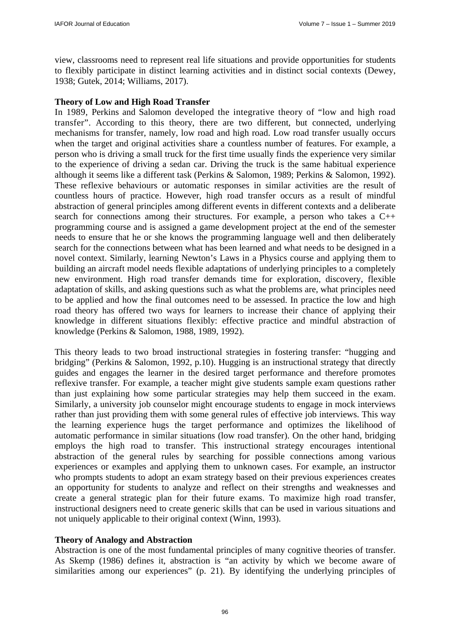view, classrooms need to represent real life situations and provide opportunities for students to flexibly participate in distinct learning activities and in distinct social contexts (Dewey, 1938; Gutek, 2014; Williams, 2017).

### **Theory of Low and High Road Transfer**

In 1989, Perkins and Salomon developed the integrative theory of "low and high road transfer". According to this theory, there are two different, but connected, underlying mechanisms for transfer, namely, low road and high road. Low road transfer usually occurs when the target and original activities share a countless number of features. For example, a person who is driving a small truck for the first time usually finds the experience very similar to the experience of driving a sedan car. Driving the truck is the same habitual experience although it seems like a different task (Perkins & Salomon, 1989; Perkins & Salomon, 1992). These reflexive behaviours or automatic responses in similar activities are the result of countless hours of practice. However, high road transfer occurs as a result of mindful abstraction of general principles among different events in different contexts and a deliberate search for connections among their structures. For example, a person who takes a C++ programming course and is assigned a game development project at the end of the semester needs to ensure that he or she knows the programming language well and then deliberately search for the connections between what has been learned and what needs to be designed in a novel context. Similarly, learning Newton's Laws in a Physics course and applying them to building an aircraft model needs flexible adaptations of underlying principles to a completely new environment. High road transfer demands time for exploration, discovery, flexible adaptation of skills, and asking questions such as what the problems are, what principles need to be applied and how the final outcomes need to be assessed. In practice the low and high road theory has offered two ways for learners to increase their chance of applying their knowledge in different situations flexibly: effective practice and mindful abstraction of knowledge (Perkins & Salomon, 1988, 1989, 1992).

This theory leads to two broad instructional strategies in fostering transfer: "hugging and bridging" (Perkins & Salomon, 1992, p.10). Hugging is an instructional strategy that directly guides and engages the learner in the desired target performance and therefore promotes reflexive transfer. For example, a teacher might give students sample exam questions rather than just explaining how some particular strategies may help them succeed in the exam. Similarly, a university job counselor might encourage students to engage in mock interviews rather than just providing them with some general rules of effective job interviews. This way the learning experience hugs the target performance and optimizes the likelihood of automatic performance in similar situations (low road transfer). On the other hand, bridging employs the high road to transfer. This instructional strategy encourages intentional abstraction of the general rules by searching for possible connections among various experiences or examples and applying them to unknown cases. For example, an instructor who prompts students to adopt an exam strategy based on their previous experiences creates an opportunity for students to analyze and reflect on their strengths and weaknesses and create a general strategic plan for their future exams. To maximize high road transfer, instructional designers need to create generic skills that can be used in various situations and not uniquely applicable to their original context (Winn, 1993).

### **Theory of Analogy and Abstraction**

Abstraction is one of the most fundamental principles of many cognitive theories of transfer. As Skemp (1986) defines it, abstraction is "an activity by which we become aware of similarities among our experiences" (p. 21). By identifying the underlying principles of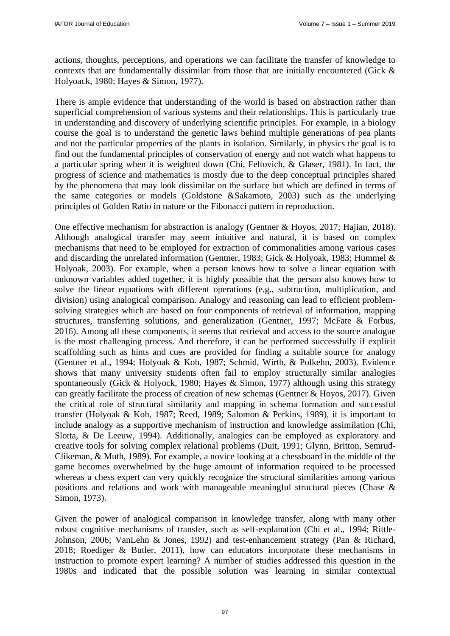actions, thoughts, perceptions, and operations we can facilitate the transfer of knowledge to contexts that are fundamentally dissimilar from those that are initially encountered (Gick & Holyoack, 1980; Hayes & Simon, 1977).

There is ample evidence that understanding of the world is based on abstraction rather than superficial comprehension of various systems and their relationships. This is particularly true in understanding and discovery of underlying scientific principles. For example, in a biology course the goal is to understand the genetic laws behind multiple generations of pea plants and not the particular properties of the plants in isolation. Similarly, in physics the goal is to find out the fundamental principles of conservation of energy and not watch what happens to a particular spring when it is weighted down (Chi, Feltovich, & Glaser, 1981). In fact, the progress of science and mathematics is mostly due to the deep conceptual principles shared by the phenomena that may look dissimilar on the surface but which are defined in terms of the same categories or models (Goldstone &Sakamoto, 2003) such as the underlying principles of Golden Ratio in nature or the Fibonacci pattern in reproduction.

One effective mechanism for abstraction is analogy (Gentner & Hoyos, 2017; Hajian, 2018). Although analogical transfer may seem intuitive and natural, it is based on complex mechanisms that need to be employed for extraction of commonalities among various cases and discarding the unrelated information (Gentner, 1983; Gick & Holyoak, 1983; Hummel & Holyoak, 2003). For example, when a person knows how to solve a linear equation with unknown variables added together, it is highly possible that the person also knows how to solve the linear equations with different operations (e.g., subtraction, multiplication, and division) using analogical comparison. Analogy and reasoning can lead to efficient problemsolving strategies which are based on four components of retrieval of information, mapping structures, transferring solutions, and generalization (Gentner, 1997; McFate & Forbus, 2016). Among all these components, it seems that retrieval and access to the source analogue is the most challenging process. And therefore, it can be performed successfully if explicit scaffolding such as hints and cues are provided for finding a suitable source for analogy (Gentner et al., 1994; Holyoak & Koh, 1987; Schmid, Wirth, & Polkehn, 2003). Evidence shows that many university students often fail to employ structurally similar analogies spontaneously (Gick & Holyock, 1980; Hayes & Simon, 1977) although using this strategy can greatly facilitate the process of creation of new schemas (Gentner & Hoyos, 2017). Given the critical role of structural similarity and mapping in schema formation and successful transfer (Holyoak & Koh, 1987; Reed, 1989; Salomon & Perkins, 1989), it is important to include analogy as a supportive mechanism of instruction and knowledge assimilation (Chi, Slotta, & De Leeuw, 1994). Additionally, analogies can be employed as exploratory and creative tools for solving complex relational problems (Duit, 1991; Glynn, Britton, Semrud-Clikeman, & Muth, 1989). For example, a novice looking at a chessboard in the middle of the game becomes overwhelmed by the huge amount of information required to be processed whereas a chess expert can very quickly recognize the structural similarities among various positions and relations and work with manageable meaningful structural pieces (Chase & Simon, 1973).

Given the power of analogical comparison in knowledge transfer, along with many other robust cognitive mechanisms of transfer, such as self-explanation (Chi et al., 1994; Rittle-Johnson, 2006; VanLehn & Jones, 1992) and test-enhancement strategy (Pan & Richard, 2018; Roediger & Butler, 2011), how can educators incorporate these mechanisms in instruction to promote expert learning? A number of studies addressed this question in the 1980s and indicated that the possible solution was learning in similar contextual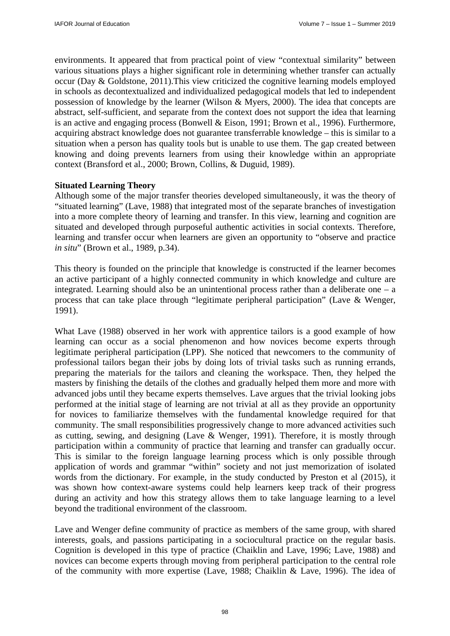environments. It appeared that from practical point of view "contextual similarity" between various situations plays a higher significant role in determining whether transfer can actually occur (Day & Goldstone, 2011).This view criticized the cognitive learning models employed in schools as decontextualized and individualized pedagogical models that led to independent possession of knowledge by the learner (Wilson & Myers, 2000). The idea that concepts are abstract, self-sufficient, and separate from the context does not support the idea that learning is an active and engaging process (Bonwell & Eison, 1991; Brown et al., 1996). Furthermore, acquiring abstract knowledge does not guarantee transferrable knowledge – this is similar to a situation when a person has quality tools but is unable to use them. The gap created between knowing and doing prevents learners from using their knowledge within an appropriate context (Bransford et al., 2000; Brown, Collins, & Duguid, 1989).

## **Situated Learning Theory**

Although some of the major transfer theories developed simultaneously, it was the theory of "situated learning" (Lave, 1988) that integrated most of the separate branches of investigation into a more complete theory of learning and transfer. In this view, learning and cognition are situated and developed through purposeful authentic activities in social contexts. Therefore, learning and transfer occur when learners are given an opportunity to "observe and practice *in situ*" (Brown et al., 1989, p.34).

This theory is founded on the principle that knowledge is constructed if the learner becomes an active participant of a highly connected community in which knowledge and culture are integrated. Learning should also be an unintentional process rather than a deliberate one  $-$  a process that can take place through "legitimate peripheral participation" (Lave & Wenger, 1991).

What Lave (1988) observed in her work with apprentice tailors is a good example of how learning can occur as a social phenomenon and how novices become experts through legitimate peripheral participation (LPP). She noticed that newcomers to the community of professional tailors began their jobs by doing lots of trivial tasks such as running errands, preparing the materials for the tailors and cleaning the workspace. Then, they helped the masters by finishing the details of the clothes and gradually helped them more and more with advanced jobs until they became experts themselves. Lave argues that the trivial looking jobs performed at the initial stage of learning are not trivial at all as they provide an opportunity for novices to familiarize themselves with the fundamental knowledge required for that community. The small responsibilities progressively change to more advanced activities such as cutting, sewing, and designing (Lave & Wenger, 1991). Therefore, it is mostly through participation within a community of practice that learning and transfer can gradually occur. This is similar to the foreign language learning process which is only possible through application of words and grammar "within" society and not just memorization of isolated words from the dictionary. For example, in the study conducted by Preston et al (2015), it was shown how context-aware systems could help learners keep track of their progress during an activity and how this strategy allows them to take language learning to a level beyond the traditional environment of the classroom.

Lave and Wenger define community of practice as members of the same group, with shared interests, goals, and passions participating in a sociocultural practice on the regular basis. Cognition is developed in this type of practice (Chaiklin and Lave, 1996; Lave, 1988) and novices can become experts through moving from peripheral participation to the central role of the community with more expertise (Lave, 1988; Chaiklin & Lave, 1996). The idea of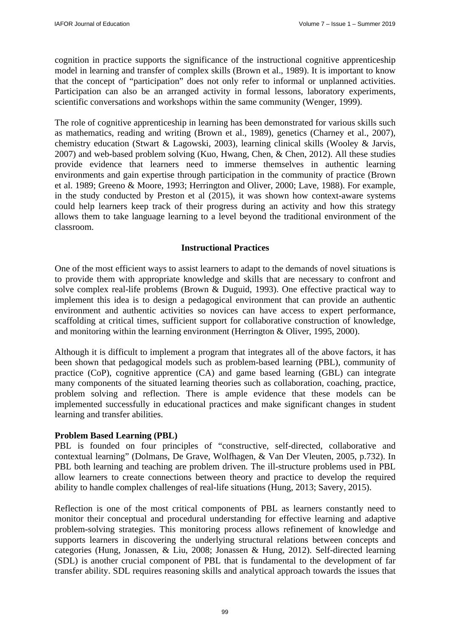cognition in practice supports the significance of the instructional cognitive apprenticeship model in learning and transfer of complex skills (Brown et al., 1989). It is important to know that the concept of "participation" does not only refer to informal or unplanned activities. Participation can also be an arranged activity in formal lessons, laboratory experiments, scientific conversations and workshops within the same community (Wenger, 1999).

The role of cognitive apprenticeship in learning has been demonstrated for various skills such as mathematics, reading and writing (Brown et al., 1989), genetics (Charney et al., 2007), chemistry education (Stwart & Lagowski, 2003), learning clinical skills (Wooley & Jarvis, 2007) and web-based problem solving (Kuo, Hwang, Chen, & Chen, 2012). All these studies provide evidence that learners need to immerse themselves in authentic learning environments and gain expertise through participation in the community of practice (Brown et al. 1989; Greeno & Moore, 1993; Herrington and Oliver, 2000; Lave, 1988). For example, in the study conducted by Preston et al (2015), it was shown how context-aware systems could help learners keep track of their progress during an activity and how this strategy allows them to take language learning to a level beyond the traditional environment of the classroom.

# **Instructional Practices**

One of the most efficient ways to assist learners to adapt to the demands of novel situations is to provide them with appropriate knowledge and skills that are necessary to confront and solve complex real-life problems (Brown & Duguid, 1993). One effective practical way to implement this idea is to design a pedagogical environment that can provide an authentic environment and authentic activities so novices can have access to expert performance, scaffolding at critical times, sufficient support for collaborative construction of knowledge, and monitoring within the learning environment (Herrington & Oliver, 1995, 2000).

Although it is difficult to implement a program that integrates all of the above factors, it has been shown that pedagogical models such as problem-based learning (PBL), community of practice (CoP), cognitive apprentice (CA) and game based learning (GBL) can integrate many components of the situated learning theories such as collaboration, coaching, practice, problem solving and reflection. There is ample evidence that these models can be implemented successfully in educational practices and make significant changes in student learning and transfer abilities.

## **Problem Based Learning (PBL)**

PBL is founded on four principles of "constructive, self-directed, collaborative and contextual learning" (Dolmans, De Grave, Wolfhagen, & Van Der Vleuten, 2005, p.732). In PBL both learning and teaching are problem driven. The ill-structure problems used in PBL allow learners to create connections between theory and practice to develop the required ability to handle complex challenges of real-life situations (Hung, 2013; Savery, 2015).

Reflection is one of the most critical components of PBL as learners constantly need to monitor their conceptual and procedural understanding for effective learning and adaptive problem-solving strategies. This monitoring process allows refinement of knowledge and supports learners in discovering the underlying structural relations between concepts and categories (Hung, Jonassen, & Liu, 2008; Jonassen & Hung, 2012). Self-directed learning (SDL) is another crucial component of PBL that is fundamental to the development of far transfer ability. SDL requires reasoning skills and analytical approach towards the issues that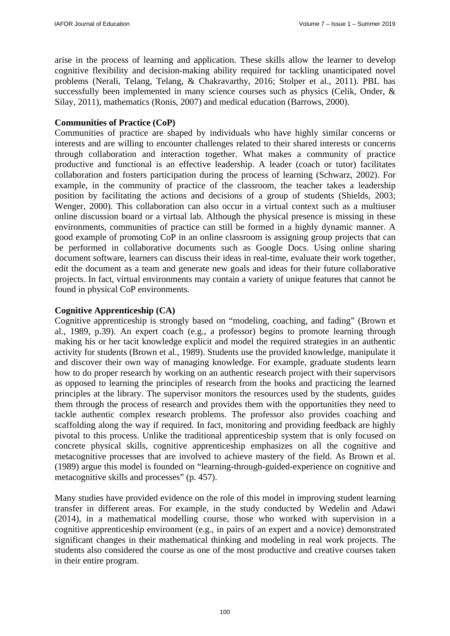arise in the process of learning and application. These skills allow the learner to develop cognitive flexibility and decision-making ability required for tackling unanticipated novel problems (Nerali, Telang, Telang, & Chakravarthy, 2016; Stolper et al., 2011). PBL has successfully been implemented in many science courses such as physics (Celik, Onder, & Silay, 2011), mathematics (Ronis, 2007) and medical education (Barrows, 2000).

### **Communities of Practice (CoP)**

Communities of practice are shaped by individuals who have highly similar concerns or interests and are willing to encounter challenges related to their shared interests or concerns through collaboration and interaction together. What makes a community of practice productive and functional is an effective leadership. A leader (coach or tutor) facilitates collaboration and fosters participation during the process of learning (Schwarz, 2002). For example, in the community of practice of the classroom, the teacher takes a leadership position by facilitating the actions and decisions of a group of students (Shields, 2003; Wenger, 2000). This collaboration can also occur in a virtual context such as a multiuser online discussion board or a virtual lab. Although the physical presence is missing in these environments, communities of practice can still be formed in a highly dynamic manner. A good example of promoting CoP in an online classroom is assigning group projects that can be performed in collaborative documents such as Google Docs. Using online sharing document software, learners can discuss their ideas in real-time, evaluate their work together, edit the document as a team and generate new goals and ideas for their future collaborative projects. In fact, virtual environments may contain a variety of unique features that cannot be found in physical CoP environments.

### **Cognitive Apprenticeship (CA)**

Cognitive apprenticeship is strongly based on "modeling, coaching, and fading" (Brown et al., 1989, p.39). An expert coach (e.g., a professor) begins to promote learning through making his or her tacit knowledge explicit and model the required strategies in an authentic activity for students (Brown et al., 1989). Students use the provided knowledge, manipulate it and discover their own way of managing knowledge. For example, graduate students learn how to do proper research by working on an authentic research project with their supervisors as opposed to learning the principles of research from the books and practicing the learned principles at the library. The supervisor monitors the resources used by the students, guides them through the process of research and provides them with the opportunities they need to tackle authentic complex research problems. The professor also provides coaching and scaffolding along the way if required. In fact, monitoring and providing feedback are highly pivotal to this process. Unlike the traditional apprenticeship system that is only focused on concrete physical skills, cognitive apprenticeship emphasizes on all the cognitive and metacognitive processes that are involved to achieve mastery of the field. As Brown et al. (1989) argue this model is founded on "learning-through-guided-experience on cognitive and metacognitive skills and processes" (p. 457).

Many studies have provided evidence on the role of this model in improving student learning transfer in different areas. For example, in the study conducted by Wedelin and Adawi (2014), in a mathematical modelling course, those who worked with supervision in a cognitive apprenticeship environment (e.g., in pairs of an expert and a novice) demonstrated significant changes in their mathematical thinking and modeling in real work projects. The students also considered the course as one of the most productive and creative courses taken in their entire program.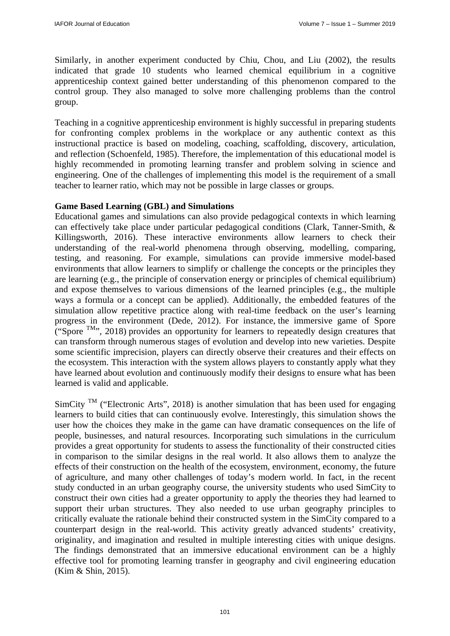Similarly, in another experiment conducted by Chiu, Chou, and Liu (2002), the results indicated that grade 10 students who learned chemical equilibrium in a cognitive apprenticeship context gained better understanding of this phenomenon compared to the control group. They also managed to solve more challenging problems than the control group.

Teaching in a cognitive apprenticeship environment is highly successful in preparing students for confronting complex problems in the workplace or any authentic context as this instructional practice is based on modeling, coaching, scaffolding, discovery, articulation, and reflection (Schoenfeld, 1985). Therefore, the implementation of this educational model is highly recommended in promoting learning transfer and problem solving in science and engineering. One of the challenges of implementing this model is the requirement of a small teacher to learner ratio, which may not be possible in large classes or groups.

### **Game Based Learning (GBL) and Simulations**

Educational games and simulations can also provide pedagogical contexts in which learning can effectively take place under particular pedagogical conditions (Clark, Tanner-Smith, & Killingsworth, 2016). These interactive environments allow learners to check their understanding of the real-world phenomena through observing, modelling, comparing, testing, and reasoning. For example, simulations can provide immersive model-based environments that allow learners to simplify or challenge the concepts or the principles they are learning (e.g., the principle of conservation energy or principles of chemical equilibrium) and expose themselves to various dimensions of the learned principles (e.g., the multiple ways a formula or a concept can be applied). Additionally, the embedded features of the simulation allow repetitive practice along with real-time feedback on the user's learning progress in the environment (Dede, 2012). For instance, the immersive game of Spore ("Spore  $TM$ ", 2018) provides an opportunity for learners to repeatedly design creatures that can transform through numerous stages of evolution and develop into new varieties. Despite some scientific imprecision, players can directly observe their creatures and their effects on the ecosystem. This interaction with the system allows players to constantly apply what they have learned about evolution and continuously modify their designs to ensure what has been learned is valid and applicable.

 $SimCity$ <sup>TM</sup> ("Electronic Arts", 2018) is another simulation that has been used for engaging learners to build cities that can continuously evolve. Interestingly, this simulation shows the user how the choices they make in the game can have dramatic consequences on the life of people, businesses, and natural resources. Incorporating such simulations in the curriculum provides a great opportunity for students to assess the functionality of their constructed cities in comparison to the similar designs in the real world. It also allows them to analyze the effects of their construction on the health of the ecosystem, environment, economy, the future of agriculture, and many other challenges of today's modern world. In fact, in the recent study conducted in an urban geography course, the university students who used SimCity to construct their own cities had a greater opportunity to apply the theories they had learned to support their urban structures. They also needed to use urban geography principles to critically evaluate the rationale behind their constructed system in the SimCity compared to a counterpart design in the real-world. This activity greatly advanced students' creativity, originality, and imagination and resulted in multiple interesting cities with unique designs. The findings demonstrated that an immersive educational environment can be a highly effective tool for promoting learning transfer in geography and civil engineering education (Kim & Shin, 2015).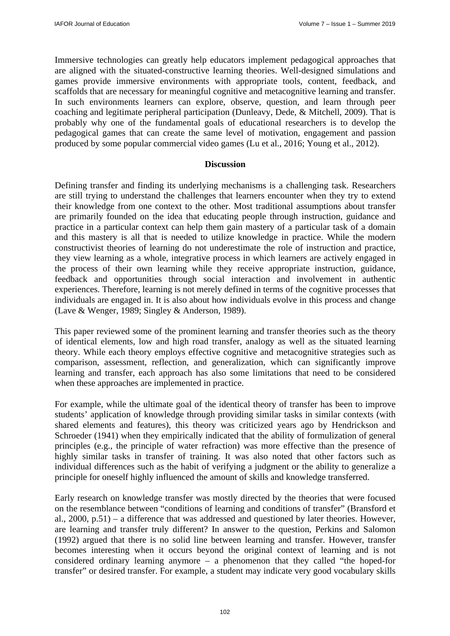Immersive technologies can greatly help educators implement pedagogical approaches that are aligned with the situated-constructive learning theories. Well-designed simulations and games provide immersive environments with appropriate tools, content, feedback, and scaffolds that are necessary for meaningful cognitive and metacognitive learning and transfer. In such environments learners can explore, observe, question, and learn through peer coaching and legitimate peripheral participation (Dunleavy, Dede, & Mitchell, 2009). That is probably why one of the fundamental goals of educational researchers is to develop the pedagogical games that can create the same level of motivation, engagement and passion produced by some popular commercial video games (Lu et al., 2016; Young et al., 2012).

#### **Discussion**

Defining transfer and finding its underlying mechanisms is a challenging task. Researchers are still trying to understand the challenges that learners encounter when they try to extend their knowledge from one context to the other. Most traditional assumptions about transfer are primarily founded on the idea that educating people through instruction, guidance and practice in a particular context can help them gain mastery of a particular task of a domain and this mastery is all that is needed to utilize knowledge in practice. While the modern constructivist theories of learning do not underestimate the role of instruction and practice, they view learning as a whole, integrative process in which learners are actively engaged in the process of their own learning while they receive appropriate instruction, guidance, feedback and opportunities through social interaction and involvement in authentic experiences. Therefore, learning is not merely defined in terms of the cognitive processes that individuals are engaged in. It is also about how individuals evolve in this process and change (Lave & Wenger, 1989; Singley & Anderson, 1989).

This paper reviewed some of the prominent learning and transfer theories such as the theory of identical elements, low and high road transfer, analogy as well as the situated learning theory. While each theory employs effective cognitive and metacognitive strategies such as comparison, assessment, reflection, and generalization, which can significantly improve learning and transfer, each approach has also some limitations that need to be considered when these approaches are implemented in practice.

For example, while the ultimate goal of the identical theory of transfer has been to improve students' application of knowledge through providing similar tasks in similar contexts (with shared elements and features), this theory was criticized years ago by Hendrickson and Schroeder (1941) when they empirically indicated that the ability of formulization of general principles (e.g., the principle of water refraction) was more effective than the presence of highly similar tasks in transfer of training. It was also noted that other factors such as individual differences such as the habit of verifying a judgment or the ability to generalize a principle for oneself highly influenced the amount of skills and knowledge transferred.

Early research on knowledge transfer was mostly directed by the theories that were focused on the resemblance between "conditions of learning and conditions of transfer" (Bransford et al., 2000, p.51) – a difference that was addressed and questioned by later theories. However, are learning and transfer truly different? In answer to the question, Perkins and Salomon (1992) argued that there is no solid line between learning and transfer. However, transfer becomes interesting when it occurs beyond the original context of learning and is not considered ordinary learning anymore – a phenomenon that they called "the hoped-for transfer" or desired transfer. For example, a student may indicate very good vocabulary skills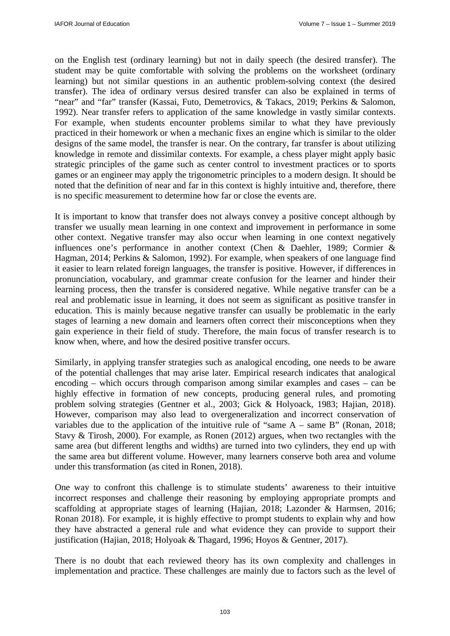on the English test (ordinary learning) but not in daily speech (the desired transfer). The student may be quite comfortable with solving the problems on the worksheet (ordinary learning) but not similar questions in an authentic problem-solving context (the desired transfer). The idea of ordinary versus desired transfer can also be explained in terms of "near" and "far" transfer (Kassai, Futo, Demetrovics, & Takacs, 2019; Perkins & Salomon, 1992). Near transfer refers to application of the same knowledge in vastly similar contexts. For example, when students encounter problems similar to what they have previously practiced in their homework or when a mechanic fixes an engine which is similar to the older designs of the same model, the transfer is near. On the contrary, far transfer is about utilizing knowledge in remote and dissimilar contexts. For example, a chess player might apply basic strategic principles of the game such as center control to investment practices or to sports games or an engineer may apply the trigonometric principles to a modern design. It should be noted that the definition of near and far in this context is highly intuitive and, therefore, there is no specific measurement to determine how far or close the events are.

It is important to know that transfer does not always convey a positive concept although by transfer we usually mean learning in one context and improvement in performance in some other context. Negative transfer may also occur when learning in one context negatively influences one's performance in another context (Chen & Daehler, 1989; Cormier & Hagman, 2014; Perkins & Salomon, 1992). For example, when speakers of one language find it easier to learn related foreign languages, the transfer is positive. However, if differences in pronunciation, vocabulary, and grammar create confusion for the learner and hinder their learning process, then the transfer is considered negative. While negative transfer can be a real and problematic issue in learning, it does not seem as significant as positive transfer in education. This is mainly because negative transfer can usually be problematic in the early stages of learning a new domain and learners often correct their misconceptions when they gain experience in their field of study. Therefore, the main focus of transfer research is to know when, where, and how the desired positive transfer occurs.

Similarly, in applying transfer strategies such as analogical encoding, one needs to be aware of the potential challenges that may arise later. Empirical research indicates that analogical encoding – which occurs through comparison among similar examples and cases – can be highly effective in formation of new concepts, producing general rules, and promoting problem solving strategies (Gentner et al., 2003; Gick & Holyoack, 1983; Hajian, 2018). However, comparison may also lead to overgeneralization and incorrect conservation of variables due to the application of the intuitive rule of "same  $A$  – same  $B$ " (Ronan, 2018; Stavy & Tirosh, 2000). For example, as Ronen (2012) argues, when two rectangles with the same area (but different lengths and widths) are turned into two cylinders, they end up with the same area but different volume. However, many learners conserve both area and volume under this transformation (as cited in Ronen, 2018).

One way to confront this challenge is to stimulate students' awareness to their intuitive incorrect responses and challenge their reasoning by employing appropriate prompts and scaffolding at appropriate stages of learning (Hajian, 2018; Lazonder & Harmsen, 2016; Ronan 2018). For example, it is highly effective to prompt students to explain why and how they have abstracted a general rule and what evidence they can provide to support their justification (Hajian, 2018; Holyoak & Thagard, 1996; Hoyos & Gentner, 2017).

There is no doubt that each reviewed theory has its own complexity and challenges in implementation and practice. These challenges are mainly due to factors such as the level of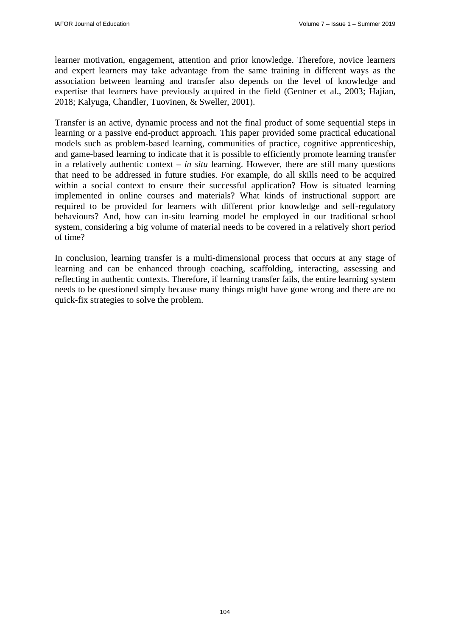learner motivation, engagement, attention and prior knowledge. Therefore, novice learners and expert learners may take advantage from the same training in different ways as the association between learning and transfer also depends on the level of knowledge and expertise that learners have previously acquired in the field (Gentner et al., 2003; Hajian, 2018; Kalyuga, Chandler, Tuovinen, & Sweller, 2001).

Transfer is an active, dynamic process and not the final product of some sequential steps in learning or a passive end-product approach. This paper provided some practical educational models such as problem-based learning, communities of practice, cognitive apprenticeship, and game-based learning to indicate that it is possible to efficiently promote learning transfer in a relatively authentic context – *in situ* learning. However, there are still many questions that need to be addressed in future studies. For example, do all skills need to be acquired within a social context to ensure their successful application? How is situated learning implemented in online courses and materials? What kinds of instructional support are required to be provided for learners with different prior knowledge and self-regulatory behaviours? And, how can in-situ learning model be employed in our traditional school system, considering a big volume of material needs to be covered in a relatively short period of time?

In conclusion, learning transfer is a multi-dimensional process that occurs at any stage of learning and can be enhanced through coaching, scaffolding, interacting, assessing and reflecting in authentic contexts. Therefore, if learning transfer fails, the entire learning system needs to be questioned simply because many things might have gone wrong and there are no quick-fix strategies to solve the problem.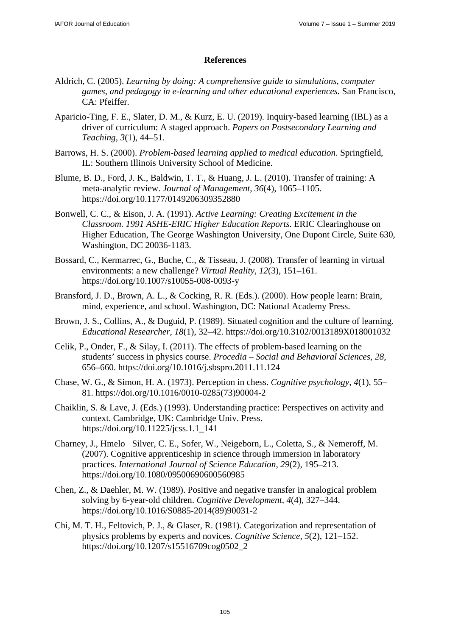### **References**

- Aldrich, C. (2005). *Learning by doing: A comprehensive guide to simulations, computer games, and pedagogy in e-learning and other educational experiences.* San Francisco, CA: Pfeiffer.
- Aparicio-Ting, F. E., Slater, D. M., & Kurz, E. U. (2019). Inquiry-based learning (IBL) as a driver of curriculum: A staged approach. *Papers on Postsecondary Learning and Teaching*, *3*(1), 44–51.
- Barrows, H. S. (2000). *Problem-based learning applied to medical education*. Springfield, IL: Southern Illinois University School of Medicine.
- Blume, B. D., Ford, J. K., Baldwin, T. T., & Huang, J. L. (2010). Transfer of training: A meta-analytic review. *Journal of Management*, *36*(4), 1065–1105. https://doi.org/10.1177/0149206309352880
- Bonwell, C. C., & Eison, J. A. (1991). *Active Learning: Creating Excitement in the Classroom. 1991 ASHE-ERIC Higher Education Reports*. ERIC Clearinghouse on Higher Education, The George Washington University, One Dupont Circle, Suite 630, Washington, DC 20036-1183.
- Bossard, C., Kermarrec, G., Buche, C., & Tisseau, J. (2008). Transfer of learning in virtual environments: a new challenge? *Virtual Reality*, *12*(3), 151–161. https://doi.org/10.1007/s10055-008-0093-y
- Bransford, J. D., Brown, A. L., & Cocking, R. R. (Eds.). (2000). How people learn: Brain, mind, experience, and school. Washington, DC: National Academy Press.
- Brown, J. S., Collins, A., & Duguid, P. (1989). Situated cognition and the culture of learning. *Educational Researcher*, *18*(1), 32–42. https://doi.org/10.3102/0013189X018001032
- Celik, P., Onder, F., & Silay, I. (2011). The effects of problem-based learning on the students' success in physics course. *Procedia – Social and Behavioral Sciences*, *28*, 656–660. https://doi.org/10.1016/j.sbspro.2011.11.124
- Chase, W. G., & Simon, H. A. (1973). Perception in chess. *Cognitive psychology*, *4*(1), 55– 81. https://doi.org/10.1016/0010-0285(73)90004-2
- Chaiklin, S. & Lave, J. (Eds.) (1993). Understanding practice: Perspectives on activity and context. Cambridge, UK: Cambridge Univ. Press. https://doi.org/10.11225/jcss.1.1\_141
- Charney, J., Hmelo Silver, C. E., Sofer, W., Neigeborn, L., Coletta, S., & Nemeroff, M. (2007). Cognitive apprenticeship in science through immersion in laboratory practices. *International Journal of Science Education*, *29*(2), 195–213. https://doi.org/10.1080/09500690600560985
- Chen, Z., & Daehler, M. W. (1989). Positive and negative transfer in analogical problem solving by 6-year-old children. *Cognitive Development*, *4*(4), 327–344. https://doi.org/10.1016/S0885-2014(89)90031-2
- Chi, M. T. H., Feltovich, P. J., & Glaser, R. (1981). Categorization and representation of physics problems by experts and novices. *Cognitive Science*, *5*(2), 121–152. https://doi.org/10.1207/s15516709cog0502\_2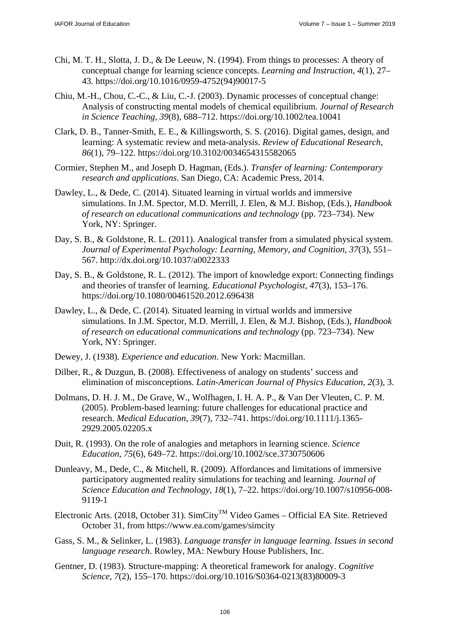- Chi, M. T. H., Slotta, J. D., & De Leeuw, N. (1994). From things to processes: A theory of conceptual change for learning science concepts. *Learning and Instruction*, *4*(1), 27– 43. https://doi.org/10.1016/0959-4752(94)90017-5
- Chiu, M.-H., Chou, C.-C., & Liu, C.-J. (2003). Dynamic processes of conceptual change: Analysis of constructing mental models of chemical equilibrium. *Journal of Research in Science Teaching*, *39*(8), 688–712. https://doi.org/10.1002/tea.10041
- Clark, D. B., Tanner-Smith, E. E., & Killingsworth, S. S. (2016). Digital games, design, and learning: A systematic review and meta-analysis. *Review of Educational Research*, *86*(1), 79–122. https://doi.org/10.3102/0034654315582065
- Cormier, Stephen M., and Joseph D. Hagman, (Eds.). *Transfer of learning: Contemporary research and applications*. San Diego, CA: Academic Press, 2014.
- Dawley, L., & Dede, C. (2014). Situated learning in virtual worlds and immersive simulations. In J.M. Spector, M.D. Merrill, J. Elen, & M.J. Bishop, (Eds.), *Handbook of research on educational communications and technology* (pp. 723–734). New York, NY: Springer.
- Day, S. B., & Goldstone, R. L. (2011). Analogical transfer from a simulated physical system. *Journal of Experimental Psychology: Learning, Memory, and Cognition, 37*(3), 551– 567. http://dx.doi.org/10.1037/a0022333
- Day, S. B., & Goldstone, R. L. (2012). The import of knowledge export: Connecting findings and theories of transfer of learning. *Educational Psychologist*, *47*(3), 153–176. https://doi.org/10.1080/00461520.2012.696438
- Dawley, L., & Dede, C. (2014). Situated learning in virtual worlds and immersive simulations. In J.M. Spector, M.D. Merrill, J. Elen, & M.J. Bishop, (Eds.), *Handbook of research on educational communications and technology* (pp. 723–734). New York, NY: Springer.
- Dewey, J. (1938). *Experience and education*. New York: Macmillan.
- Dilber, R., & Duzgun, B. (2008). Effectiveness of analogy on students' success and elimination of misconceptions. *Latin-American Journal of Physics Education*, *2*(3), 3.
- Dolmans, D. H. J. M., De Grave, W., Wolfhagen, I. H. A. P., & Van Der Vleuten, C. P. M. (2005). Problem-based learning: future challenges for educational practice and research. *Medical Education*, *39*(7), 732–741. https://doi.org/10.1111/j.1365- 2929.2005.02205.x
- Duit, R. (1993). On the role of analogies and metaphors in learning science. *Science Education*, *75*(6), 649–72. https://doi.org/10.1002/sce.3730750606
- Dunleavy, M., Dede, C., & Mitchell, R. (2009). Affordances and limitations of immersive participatory augmented reality simulations for teaching and learning. *Journal of Science Education and Technology*, *18*(1), 7–22. https://doi.org/10.1007/s10956-008- 9119-1
- Electronic Arts. (2018, October 31). SimCity<sup>TM</sup> Video Games Official EA Site. Retrieved October 31, from https://www.ea.com/games/simcity
- Gass, S. M., & Selinker, L. (1983). *Language transfer in language learning. Issues in second language research*. Rowley, MA: Newbury House Publishers, Inc.
- Gentner, D. (1983). Structure-mapping: A theoretical framework for analogy. *Cognitive Science*, *7*(2), 155–170. https://doi.org/10.1016/S0364-0213(83)80009-3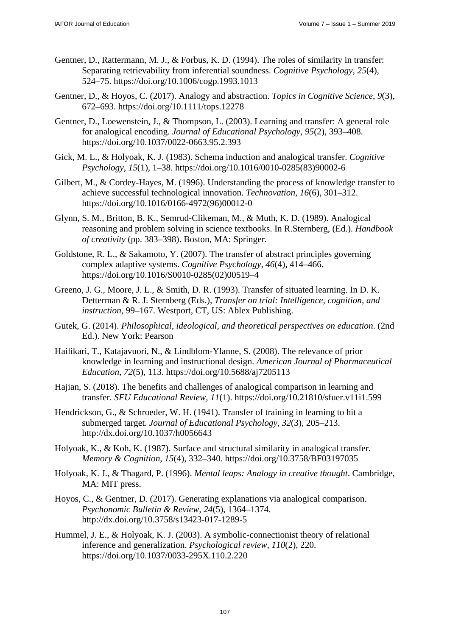- Gentner, D., Rattermann, M. J., & Forbus, K. D. (1994). The roles of similarity in transfer: Separating retrievability from inferential soundness. *Cognitive Psychology*, *25*(4), 524–75. https://doi.org/10.1006/cogp.1993.1013
- Gentner, D., & Hoyos, C. (2017). Analogy and abstraction. *Topics in Cognitive Science*, *9*(3), 672–693. https://doi.org/10.1111/tops.12278
- Gentner, D., Loewenstein, J., & Thompson, L. (2003). Learning and transfer: A general role for analogical encoding. *Journal of Educational Psychology*, *95*(2), 393–408. https://doi.org/10.1037/0022-0663.95.2.393
- Gick, M. L., & Holyoak, K. J. (1983). Schema induction and analogical transfer. *Cognitive Psychology*, *15*(1), 1–38. https://doi.org/10.1016/0010-0285(83)90002-6
- Gilbert, M., & Cordey-Hayes, M. (1996). Understanding the process of knowledge transfer to achieve successful technological innovation. *Technovation*, *16*(6), 301–312. https://doi.org/10.1016/0166-4972(96)00012-0
- Glynn, S. M., Britton, B. K., Semrud-Clikeman, M., & Muth, K. D. (1989). Analogical reasoning and problem solving in science textbooks. In R.Sternberg, (Ed.). *Handbook of creativity* (pp. 383–398). Boston, MA: Springer.
- Goldstone, R. L., & Sakamoto, Y. (2007). The transfer of abstract principles governing complex adaptive systems. *Cognitive Psychology*, *46*(4), 414–466. https://doi.org/10.1016/S0010-0285(02)00519–4
- Greeno, J. G., Moore, J. L., & Smith, D. R. (1993). Transfer of situated learning. In D. K. Detterman & R. J. Sternberg (Eds.), *Transfer on trial: Intelligence, cognition, and instruction*, 99–167. Westport, CT, US: Ablex Publishing.
- Gutek, G. (2014). *Philosophical, ideological, and theoretical perspectives on education*. (2nd Ed.). New York: Pearson
- Hailikari, T., Katajavuori, N., & Lindblom-Ylanne, S. (2008). The relevance of prior knowledge in learning and instructional design. *American Journal of Pharmaceutical Education*, *72*(5), 113. https://doi.org/10.5688/aj7205113
- Hajian, S. (2018). The benefits and challenges of analogical comparison in learning and transfer. *SFU Educational Review*, *11*(1). https://doi.org/10.21810/sfuer.v11i1.599
- Hendrickson, G., & Schroeder, W. H. (1941). Transfer of training in learning to hit a submerged target. *Journal of Educational Psychology, 32*(3), 205–213. http://dx.doi.org/10.1037/h0056643
- Holyoak, K., & Koh, K. (1987). Surface and structural similarity in analogical transfer. *Memory & Cognition*, *15*(4), 332–340. https://doi.org/10.3758/BF03197035
- Holyoak, K. J., & Thagard, P. (1996). *Mental leaps: Analogy in creative thought*. Cambridge, MA: MIT press.
- Hoyos, C., & Gentner, D. (2017). Generating explanations via analogical comparison. *Psychonomic Bulletin & Review, 24*(5), 1364–1374. http://dx.doi.org/10.3758/s13423-017-1289-5
- Hummel, J. E., & Holyoak, K. J. (2003). A symbolic-connectionist theory of relational inference and generalization. *Psychological review*, *110*(2), 220. https://doi.org/10.1037/0033-295X.110.2.220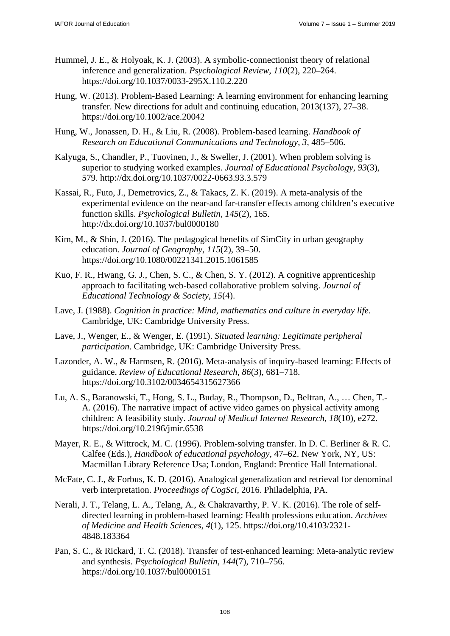- Hummel, J. E., & Holyoak, K. J. (2003). A symbolic-connectionist theory of relational inference and generalization. *Psychological Review*, *110*(2), 220–264. https://doi.org/10.1037/0033-295X.110.2.220
- Hung, W. (2013). Problem-Based Learning: A learning environment for enhancing learning transfer. New directions for adult and continuing education, 2013(137), 27–38. https://doi.org/10.1002/ace.20042
- Hung, W., Jonassen, D. H., & Liu, R. (2008). Problem-based learning. *Handbook of Research on Educational Communications and Technology*, *3*, 485–506.
- Kalyuga, S., Chandler, P., Tuovinen, J., & Sweller, J. (2001). When problem solving is superior to studying worked examples. *Journal of Educational Psychology*, *93*(3), 579. http://dx.doi.org/10.1037/0022-0663.93.3.579
- Kassai, R., Futo, J., Demetrovics, Z., & Takacs, Z. K. (2019). A meta-analysis of the experimental evidence on the near-and far-transfer effects among children's executive function skills. *Psychological Bulletin*, *145*(2), 165. http://dx.doi.org/10.1037/bul0000180
- Kim, M., & Shin, J. (2016). The pedagogical benefits of SimCity in urban geography education. *Journal of Geography*, *115*(2), 39–50. https://doi.org/10.1080/00221341.2015.1061585
- Kuo, F. R., Hwang, G. J., Chen, S. C., & Chen, S. Y. (2012). A cognitive apprenticeship approach to facilitating web-based collaborative problem solving. *Journal of Educational Technology & Society*, *15*(4).
- Lave, J. (1988). *Cognition in practice: Mind, mathematics and culture in everyday life*. Cambridge, UK: Cambridge University Press.
- Lave, J., Wenger, E., & Wenger, E. (1991). *Situated learning: Legitimate peripheral participation*. Cambridge, UK: Cambridge University Press.
- Lazonder, A. W., & Harmsen, R. (2016). Meta-analysis of inquiry-based learning: Effects of guidance. *Review of Educational Research*, *86*(3), 681–718. https://doi.org/10.3102/0034654315627366
- Lu, A. S., Baranowski, T., Hong, S. L., Buday, R., Thompson, D., Beltran, A., … Chen, T.- A. (2016). The narrative impact of active video games on physical activity among children: A feasibility study. *Journal of Medical Internet Research*, *18*(10), e272. https://doi.org/10.2196/jmir.6538
- Mayer, R. E., & Wittrock, M. C. (1996). Problem-solving transfer. In D. C. Berliner & R. C. Calfee (Eds.), *Handbook of educational psychology*, 47–62. New York, NY, US: Macmillan Library Reference Usa; London, England: Prentice Hall International.
- McFate, C. J., & Forbus, K. D. (2016). Analogical generalization and retrieval for denominal verb interpretation. *Proceedings of CogSci*, 2016. Philadelphia, PA.
- Nerali, J. T., Telang, L. A., Telang, A., & Chakravarthy, P. V. K. (2016). The role of selfdirected learning in problem-based learning: Health professions education. *Archives of Medicine and Health Sciences*, *4*(1), 125. https://doi.org/10.4103/2321- 4848.183364
- Pan, S. C., & Rickard, T. C. (2018). Transfer of test-enhanced learning: Meta-analytic review and synthesis. *Psychological Bulletin*, *144*(7), 710–756. https://doi.org/10.1037/bul0000151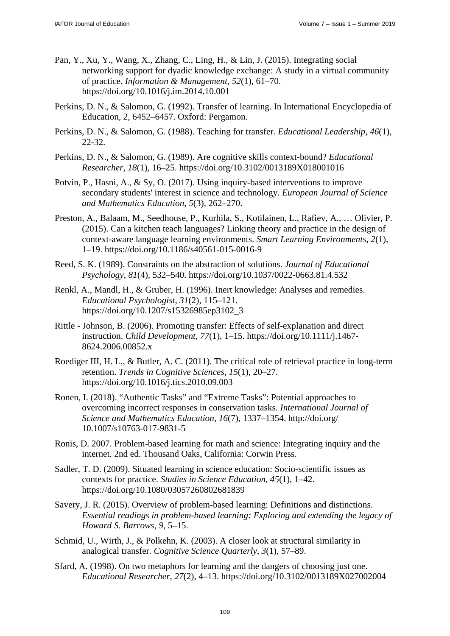- Pan, Y., Xu, Y., Wang, X., Zhang, C., Ling, H., & Lin, J. (2015). Integrating social networking support for dyadic knowledge exchange: A study in a virtual community of practice. *Information & Management*, *52*(1), 61–70. https://doi.org/10.1016/j.im.2014.10.001
- Perkins, D. N., & Salomon, G. (1992). Transfer of learning. In International Encyclopedia of Education, 2, 6452–6457. Oxford: Pergamon.
- Perkins, D. N., & Salomon, G. (1988). Teaching for transfer. *Educational Leadership*, *46*(1), 22-32.
- Perkins, D. N., & Salomon, G. (1989). Are cognitive skills context-bound? *Educational Researcher*, *18*(1), 16–25. https://doi.org/10.3102/0013189X018001016
- Potvin, P., Hasni, A., & Sy, O. (2017). Using inquiry-based interventions to improve secondary students' interest in science and technology. *European Journal of Science and Mathematics Education*, *5*(3), 262–270.
- Preston, A., Balaam, M., Seedhouse, P., Kurhila, S., Kotilainen, L., Rafiev, A., … Olivier, P. (2015). Can a kitchen teach languages? Linking theory and practice in the design of context-aware language learning environments. *Smart Learning Environments*, *2*(1), 1–19. https://doi.org/10.1186/s40561-015-0016-9
- Reed, S. K. (1989). Constraints on the abstraction of solutions. *Journal of Educational Psychology*, *81*(4), 532–540. https://doi.org/10.1037/0022-0663.81.4.532
- Renkl, A., Mandl, H., & Gruber, H. (1996). Inert knowledge: Analyses and remedies. *Educational Psychologist*, *31*(2), 115–121. https://doi.org/10.1207/s15326985ep3102\_3
- Rittle Johnson, B. (2006). Promoting transfer: Effects of self-explanation and direct instruction. *Child Development*, *77*(1), 1–15. https://doi.org/10.1111/j.1467- 8624.2006.00852.x
- Roediger III, H. L., & Butler, A. C. (2011). The critical role of retrieval practice in long-term retention. *Trends in Cognitive Sciences*, *15*(1), 20–27. https://doi.org/10.1016/j.tics.2010.09.003
- Ronen, I. (2018). "Authentic Tasks" and "Extreme Tasks": Potential approaches to overcoming incorrect responses in conservation tasks. *International Journal of Science and Mathematics Education*, *16*(7), 1337–1354. http://doi.org/ 10.1007/s10763-017-9831-5
- Ronis, D. 2007. Problem-based learning for math and science: Integrating inquiry and the internet. 2nd ed. Thousand Oaks, California: Corwin Press.
- Sadler, T. D. (2009). Situated learning in science education: Socio-scientific issues as contexts for practice. *Studies in Science Education*, *45*(1), 1–42. https://doi.org/10.1080/03057260802681839
- Savery, J. R. (2015). Overview of problem-based learning: Definitions and distinctions. *Essential readings in problem-based learning: Exploring and extending the legacy of Howard S. Barrows*, *9*, 5–15.
- Schmid, U., Wirth, J., & Polkehn, K. (2003). A closer look at structural similarity in analogical transfer. *Cognitive Science Quarterly*, *3*(1), 57–89.
- Sfard, A. (1998). On two metaphors for learning and the dangers of choosing just one. *Educational Researcher*, *27*(2), 4–13. https://doi.org/10.3102/0013189X027002004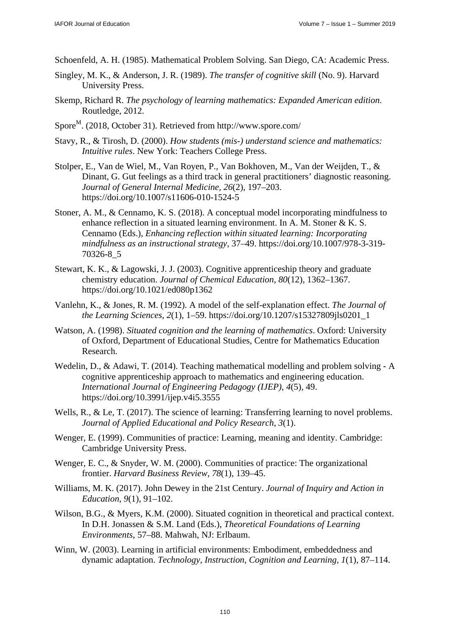Schoenfeld, A. H. (1985). Mathematical Problem Solving. San Diego, CA: Academic Press.

- Singley, M. K., & Anderson, J. R. (1989). *The transfer of cognitive skill* (No. 9). Harvard University Press.
- Skemp, Richard R. *The psychology of learning mathematics: Expanded American edition*. Routledge, 2012.
- Spore<sup>M</sup>. (2018, October 31). Retrieved from http://www.spore.com/
- Stavy, R., & Tirosh, D. (2000). *How students (mis-) understand science and mathematics: Intuitive rules*. New York: Teachers College Press.
- Stolper, E., Van de Wiel, M., Van Royen, P., Van Bokhoven, M., Van der Weijden, T., & Dinant, G. Gut feelings as a third track in general practitioners' diagnostic reasoning. *Journal of General Internal Medicine, 26*(2), 197–203. https://doi.org/10.1007/s11606-010-1524-5
- Stoner, A. M., & Cennamo, K. S. (2018). A conceptual model incorporating mindfulness to enhance reflection in a situated learning environment. In A. M. Stoner & K. S. Cennamo (Eds.), *Enhancing reflection within situated learning: Incorporating mindfulness as an instructional strategy*, 37–49. https://doi.org/10.1007/978-3-319- 70326-8\_5
- Stewart, K. K., & Lagowski, J. J. (2003). Cognitive apprenticeship theory and graduate chemistry education. *Journal of Chemical Education*, *80*(12), 1362–1367. https://doi.org/10.1021/ed080p1362
- Vanlehn, K., & Jones, R. M. (1992). A model of the self-explanation effect. *The Journal of the Learning Sciences*, *2*(1), 1–59. https://doi.org/10.1207/s15327809jls0201\_1
- Watson, A. (1998). *Situated cognition and the learning of mathematics*. Oxford: University of Oxford, Department of Educational Studies, Centre for Mathematics Education Research.
- Wedelin, D., & Adawi, T. (2014). Teaching mathematical modelling and problem solving A cognitive apprenticeship approach to mathematics and engineering education. *International Journal of Engineering Pedagogy (IJEP)*, *4*(5), 49. https://doi.org/10.3991/ijep.v4i5.3555
- Wells, R., & Le, T. (2017). The science of learning: Transferring learning to novel problems. *Journal of Applied Educational and Policy Research*, *3*(1).
- Wenger, E. (1999). Communities of practice: Learning, meaning and identity. Cambridge: Cambridge University Press.
- Wenger, E. C., & Snyder, W. M. (2000). Communities of practice: The organizational frontier. *Harvard Business Review*, *78*(1), 139–45.
- Williams, M. K. (2017). John Dewey in the 21st Century. *Journal of Inquiry and Action in Education*, *9*(1), 91–102.
- Wilson, B.G., & Myers, K.M. (2000). Situated cognition in theoretical and practical context. In D.H. Jonassen & S.M. Land (Eds.), *Theoretical Foundations of Learning Environments*, 57–88. Mahwah, NJ: Erlbaum.
- Winn, W. (2003). Learning in artificial environments: Embodiment, embeddedness and dynamic adaptation. *Technology, Instruction, Cognition and Learning*, *1*(1), 87–114.